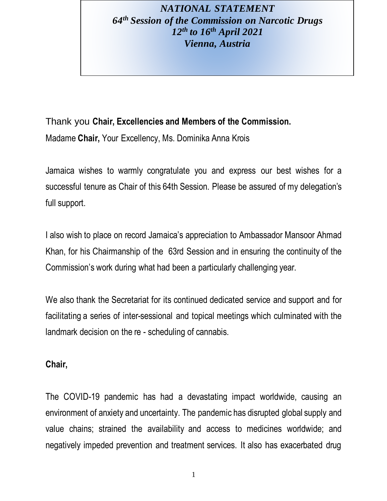# *NATIONAL STATEMENT 64th Session of the Commission on Narcotic Drugs 12th to 16th April 2021 Vienna, Austria*

Thank you **Chair, Excellencies and Members of the Commission.** Madame **Chair,** Your Excellency, Ms. Dominika Anna Krois

Jamaica wishes to warmly congratulate you and express our best wishes for a successful tenure as Chair of this 64th Session. Please be assured of my delegation's full support.

I also wish to place on record Jamaica's appreciation to Ambassador Mansoor Ahmad Khan, for his Chairmanship of the 63rd Session and in ensuring the continuity of the Commission's work during what had been a particularly challenging year.

We also thank the Secretariat for its continued dedicated service and support and for facilitating a series of inter-sessional and topical meetings which culminated with the landmark decision on the re - scheduling of cannabis.

#### **Chair,**

The COVID-19 pandemic has had a devastating impact worldwide, causing an environment of anxiety and uncertainty. The pandemic has disrupted global supply and value chains; strained the availability and access to medicines worldwide; and negatively impeded prevention and treatment services. It also has exacerbated drug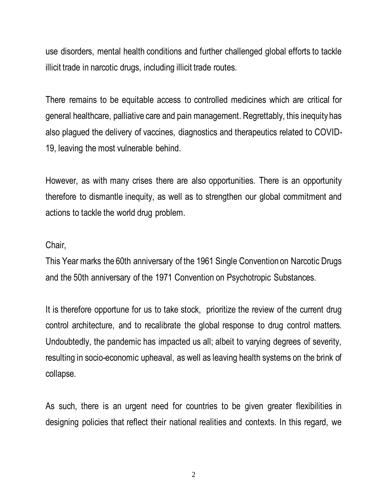use disorders, mental health conditions and further challenged global efforts to tackle illicit trade in narcotic drugs, including illicit trade routes.

There remains to be equitable access to controlled medicines which are critical for general healthcare, palliative care and pain management. Regrettably, this inequity has also plagued the delivery of vaccines, diagnostics and therapeutics related to COVID-19, leaving the most vulnerable behind.

However, as with many crises there are also opportunities. There is an opportunity therefore to dismantle inequity, as well as to strengthen our global commitment and actions to tackle the world drug problem.

#### Chair,

This Year marks the 60th anniversary of the 1961 Single Convention on Narcotic Drugs and the 50th anniversary of the 1971 Convention on Psychotropic Substances.

It is therefore opportune for us to take stock, prioritize the review of the current drug control architecture, and to recalibrate the global response to drug control matters. Undoubtedly, the pandemic has impacted us all; albeit to varying degrees of severity, resulting in socio-economic upheaval, as well as leaving health systems on the brink of collapse.

As such, there is an urgent need for countries to be given greater flexibilities in designing policies that reflect their national realities and contexts. In this regard, we

2